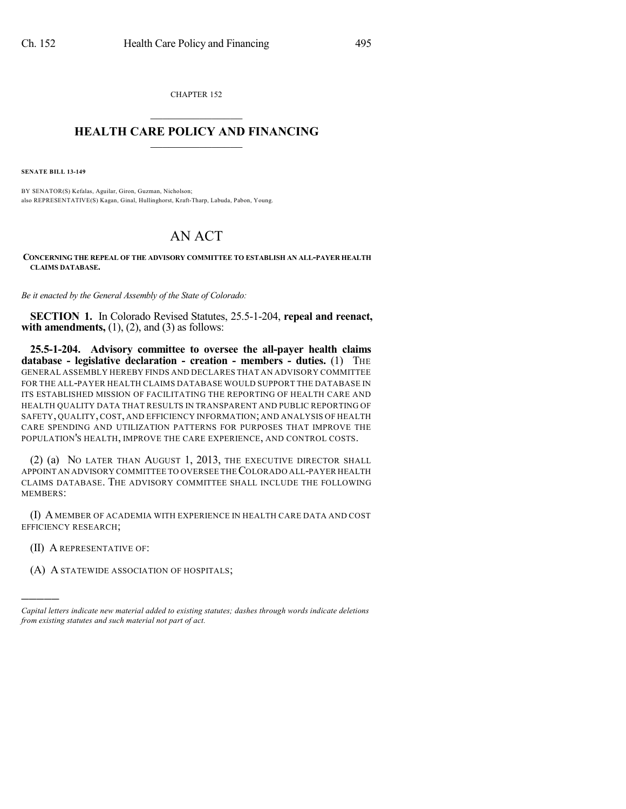CHAPTER 152  $\overline{\phantom{a}}$  . The set of the set of the set of the set of the set of the set of the set of the set of the set of the set of the set of the set of the set of the set of the set of the set of the set of the set of the set o

## **HEALTH CARE POLICY AND FINANCING**  $\_$   $\_$   $\_$   $\_$   $\_$   $\_$   $\_$   $\_$

**SENATE BILL 13-149**

BY SENATOR(S) Kefalas, Aguilar, Giron, Guzman, Nicholson; also REPRESENTATIVE(S) Kagan, Ginal, Hullinghorst, Kraft-Tharp, Labuda, Pabon, Young.

## AN ACT

**CONCERNING THE REPEAL OF THE ADVISORY COMMITTEE TO ESTABLISH AN ALL-PAYER HEALTH CLAIMS DATABASE.**

*Be it enacted by the General Assembly of the State of Colorado:*

**SECTION 1.** In Colorado Revised Statutes, 25.5-1-204, **repeal and reenact, with amendments,**  $(1)$ ,  $(2)$ , and  $(3)$  as follows:

**25.5-1-204. Advisory committee to oversee the all-payer health claims database - legislative declaration - creation - members - duties.** (1) THE GENERAL ASSEMBLY HEREBY FINDS AND DECLARES THAT AN ADVISORY COMMITTEE FOR THE ALL-PAYER HEALTH CLAIMS DATABASE WOULD SUPPORT THE DATABASE IN ITS ESTABLISHED MISSION OF FACILITATING THE REPORTING OF HEALTH CARE AND HEALTH QUALITY DATA THAT RESULTS IN TRANSPARENT AND PUBLIC REPORTING OF SAFETY, QUALITY, COST, AND EFFICIENCY INFORMATION; AND ANALYSIS OF HEALTH CARE SPENDING AND UTILIZATION PATTERNS FOR PURPOSES THAT IMPROVE THE POPULATION'S HEALTH, IMPROVE THE CARE EXPERIENCE, AND CONTROL COSTS.

(2) (a) NO LATER THAN AUGUST 1, 2013, THE EXECUTIVE DIRECTOR SHALL APPOINT AN ADVISORY COMMITTEE TO OVERSEE THECOLORADO ALL-PAYER HEALTH CLAIMS DATABASE. THE ADVISORY COMMITTEE SHALL INCLUDE THE FOLLOWING MEMBERS:

(I) A MEMBER OF ACADEMIA WITH EXPERIENCE IN HEALTH CARE DATA AND COST EFFICIENCY RESEARCH;

(II) A REPRESENTATIVE OF:

)))))

(A) A STATEWIDE ASSOCIATION OF HOSPITALS;

*Capital letters indicate new material added to existing statutes; dashes through words indicate deletions from existing statutes and such material not part of act.*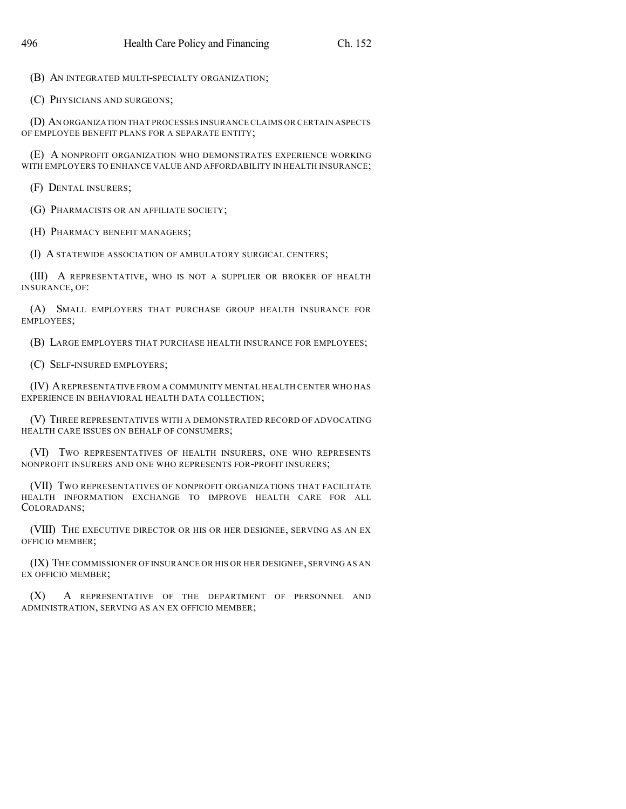(B) AN INTEGRATED MULTI-SPECIALTY ORGANIZATION;

(C) PHYSICIANS AND SURGEONS;

(D) AN ORGANIZATION THAT PROCESSES INSURANCE CLAIMS OR CERTAIN ASPECTS OF EMPLOYEE BENEFIT PLANS FOR A SEPARATE ENTITY;

(E) A NONPROFIT ORGANIZATION WHO DEMONSTRATES EXPERIENCE WORKING WITH EMPLOYERS TO ENHANCE VALUE AND AFFORDABILITY IN HEALTH INSURANCE;

(F) DENTAL INSURERS;

(G) PHARMACISTS OR AN AFFILIATE SOCIETY;

(H) PHARMACY BENEFIT MANAGERS;

(I) A STATEWIDE ASSOCIATION OF AMBULATORY SURGICAL CENTERS;

(III) A REPRESENTATIVE, WHO IS NOT A SUPPLIER OR BROKER OF HEALTH INSURANCE, OF:

(A) SMALL EMPLOYERS THAT PURCHASE GROUP HEALTH INSURANCE FOR EMPLOYEES;

(B) LARGE EMPLOYERS THAT PURCHASE HEALTH INSURANCE FOR EMPLOYEES;

(C) SELF-INSURED EMPLOYERS;

(IV) AREPRESENTATIVE FROM A COMMUNITY MENTAL HEALTH CENTER WHO HAS EXPERIENCE IN BEHAVIORAL HEALTH DATA COLLECTION;

(V) THREE REPRESENTATIVES WITH A DEMONSTRATED RECORD OF ADVOCATING HEALTH CARE ISSUES ON BEHALF OF CONSUMERS;

(VI) TWO REPRESENTATIVES OF HEALTH INSURERS, ONE WHO REPRESENTS NONPROFIT INSURERS AND ONE WHO REPRESENTS FOR-PROFIT INSURERS;

(VII) TWO REPRESENTATIVES OF NONPROFIT ORGANIZATIONS THAT FACILITATE HEALTH INFORMATION EXCHANGE TO IMPROVE HEALTH CARE FOR ALL COLORADANS;

(VIII) THE EXECUTIVE DIRECTOR OR HIS OR HER DESIGNEE, SERVING AS AN EX OFFICIO MEMBER;

(IX) THE COMMISSIONER OF INSURANCE OR HIS OR HER DESIGNEE, SERVING AS AN EX OFFICIO MEMBER;

(X) A REPRESENTATIVE OF THE DEPARTMENT OF PERSONNEL AND ADMINISTRATION, SERVING AS AN EX OFFICIO MEMBER;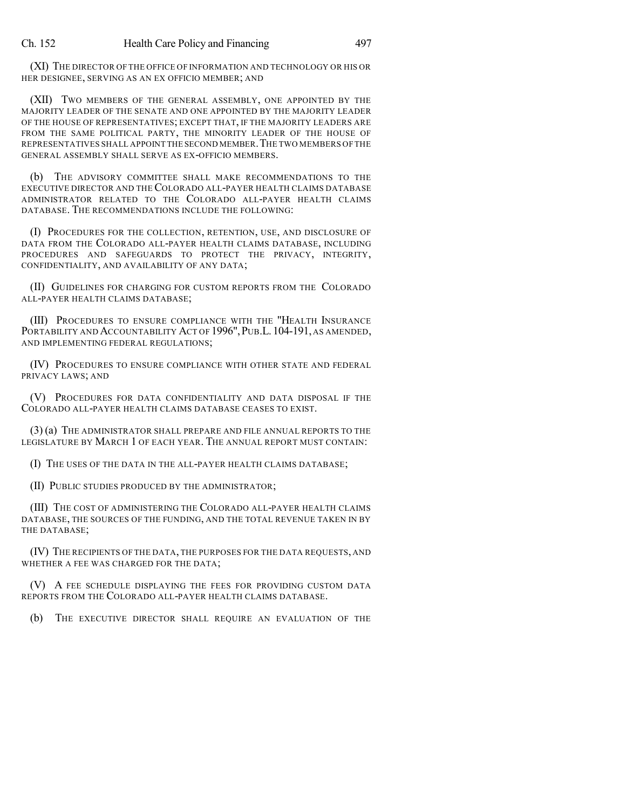(XI) THE DIRECTOR OF THE OFFICE OF INFORMATION AND TECHNOLOGY OR HIS OR HER DESIGNEE, SERVING AS AN EX OFFICIO MEMBER; AND

(XII) TWO MEMBERS OF THE GENERAL ASSEMBLY, ONE APPOINTED BY THE MAJORITY LEADER OF THE SENATE AND ONE APPOINTED BY THE MAJORITY LEADER OF THE HOUSE OF REPRESENTATIVES; EXCEPT THAT, IF THE MAJORITY LEADERS ARE FROM THE SAME POLITICAL PARTY, THE MINORITY LEADER OF THE HOUSE OF REPRESENTATIVES SHALL APPOINT THE SECOND MEMBER.THE TWO MEMBERS OF THE GENERAL ASSEMBLY SHALL SERVE AS EX-OFFICIO MEMBERS.

(b) THE ADVISORY COMMITTEE SHALL MAKE RECOMMENDATIONS TO THE EXECUTIVE DIRECTOR AND THE COLORADO ALL-PAYER HEALTH CLAIMS DATABASE ADMINISTRATOR RELATED TO THE COLORADO ALL-PAYER HEALTH CLAIMS DATABASE. THE RECOMMENDATIONS INCLUDE THE FOLLOWING:

(I) PROCEDURES FOR THE COLLECTION, RETENTION, USE, AND DISCLOSURE OF DATA FROM THE COLORADO ALL-PAYER HEALTH CLAIMS DATABASE, INCLUDING PROCEDURES AND SAFEGUARDS TO PROTECT THE PRIVACY, INTEGRITY, CONFIDENTIALITY, AND AVAILABILITY OF ANY DATA;

(II) GUIDELINES FOR CHARGING FOR CUSTOM REPORTS FROM THE COLORADO ALL-PAYER HEALTH CLAIMS DATABASE;

(III) PROCEDURES TO ENSURE COMPLIANCE WITH THE "HEALTH INSURANCE PORTABILITY AND ACCOUNTABILITY ACT OF 1996", PUB.L. 104-191, AS AMENDED, AND IMPLEMENTING FEDERAL REGULATIONS;

(IV) PROCEDURES TO ENSURE COMPLIANCE WITH OTHER STATE AND FEDERAL PRIVACY LAWS; AND

(V) PROCEDURES FOR DATA CONFIDENTIALITY AND DATA DISPOSAL IF THE COLORADO ALL-PAYER HEALTH CLAIMS DATABASE CEASES TO EXIST.

(3) (a) THE ADMINISTRATOR SHALL PREPARE AND FILE ANNUAL REPORTS TO THE LEGISLATURE BY MARCH 1 OF EACH YEAR. THE ANNUAL REPORT MUST CONTAIN:

(I) THE USES OF THE DATA IN THE ALL-PAYER HEALTH CLAIMS DATABASE;

(II) PUBLIC STUDIES PRODUCED BY THE ADMINISTRATOR;

(III) THE COST OF ADMINISTERING THE COLORADO ALL-PAYER HEALTH CLAIMS DATABASE, THE SOURCES OF THE FUNDING, AND THE TOTAL REVENUE TAKEN IN BY THE DATABASE;

(IV) THE RECIPIENTS OF THE DATA, THE PURPOSES FOR THE DATA REQUESTS, AND WHETHER A FEE WAS CHARGED FOR THE DATA;

(V) A FEE SCHEDULE DISPLAYING THE FEES FOR PROVIDING CUSTOM DATA REPORTS FROM THE COLORADO ALL-PAYER HEALTH CLAIMS DATABASE.

(b) THE EXECUTIVE DIRECTOR SHALL REQUIRE AN EVALUATION OF THE